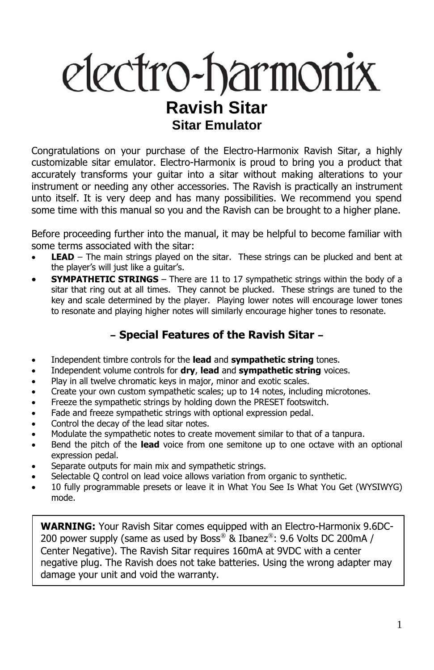# electro-harmonix **Ravish Sitar Sitar Emulator**

Congratulations on your purchase of the Electro-Harmonix Ravish Sitar, a highly customizable sitar emulator. Electro-Harmonix is proud to bring you a product that accurately transforms your guitar into a sitar without making alterations to your instrument or needing any other accessories. The Ravish is practically an instrument unto itself. It is very deep and has many possibilities. We recommend you spend some time with this manual so you and the Ravish can be brought to a higher plane.

Before proceeding further into the manual, it may be helpful to become familiar with some terms associated with the sitar:

- **LEAD** The main strings played on the sitar. These strings can be plucked and bent at the player's will just like a guitar's.
- **SYMPATHETIC STRINGS** There are 11 to 17 sympathetic strings within the body of a sitar that ring out at all times. They cannot be plucked. These strings are tuned to the key and scale determined by the player. Playing lower notes will encourage lower tones to resonate and playing higher notes will similarly encourage higher tones to resonate.

# **– Special Features of the Ravish Sitar –**

- Independent timbre controls for the **lead** and **sympathetic string** tones.
- Independent volume controls for **dry**, **lead** and **sympathetic string** voices.
- Play in all twelve chromatic keys in major, minor and exotic scales.
- Create your own custom sympathetic scales; up to 14 notes, including microtones.
- Freeze the sympathetic strings by holding down the PRESET footswitch.
- Fade and freeze sympathetic strings with optional expression pedal.
- Control the decay of the lead sitar notes.
- Modulate the sympathetic notes to create movement similar to that of a tanpura.
- Bend the pitch of the **lead** voice from one semitone up to one octave with an optional expression pedal.
- Separate outputs for main mix and sympathetic strings.
- Selectable Q control on lead voice allows variation from organic to synthetic.
- 10 fully programmable presets or leave it in What You See Is What You Get (WYSIWYG) mode.

**WARNING:** Your Ravish Sitar comes equipped with an Electro-Harmonix 9.6DC-200 power supply (same as used by Boss® & Ibanez®: 9.6 Volts DC 200mA / Center Negative). The Ravish Sitar requires 160mA at 9VDC with a center negative plug. The Ravish does not take batteries. Using the wrong adapter may damage your unit and void the warranty.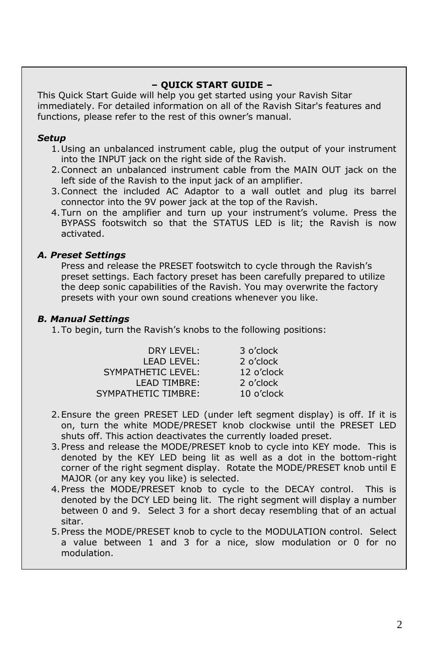#### **– QUICK START GUIDE –**

This Quick Start Guide will help you get started using your Ravish Sitar immediately. For detailed information on all of the Ravish Sitar's features and functions, please refer to the rest of this owner's manual.

#### *Setup*

- 1.Using an unbalanced instrument cable, plug the output of your instrument into the INPUT jack on the right side of the Ravish.
- 2.Connect an unbalanced instrument cable from the MAIN OUT jack on the left side of the Ravish to the input jack of an amplifier.
- 3.Connect the included AC Adaptor to a wall outlet and plug its barrel connector into the 9V power jack at the top of the Ravish.
- 4.Turn on the amplifier and turn up your instrument's volume. Press the BYPASS footswitch so that the STATUS LED is lit; the Ravish is now activated.

#### *A. Preset Settings*

Press and release the PRESET footswitch to cycle through the Ravish's preset settings. Each factory preset has been carefully prepared to utilize the deep sonic capabilities of the Ravish. You may overwrite the factory presets with your own sound creations whenever you like.

#### *B. Manual Settings*

1.To begin, turn the Ravish's knobs to the following positions:

| DRY LEVEL:          | 3 o'clock  |
|---------------------|------------|
| <b>LEAD LEVEL:</b>  | 2 o'clock  |
| SYMPATHETIC LEVEL:  | 12 o'clock |
| <b>LEAD TIMBRE:</b> | 2 o'clock  |
| SYMPATHETIC TIMBRE: | 10 o'clock |

- 2.Ensure the green PRESET LED (under left segment display) is off. If it is on, turn the white MODE/PRESET knob clockwise until the PRESET LED shuts off. This action deactivates the currently loaded preset.
- 3.Press and release the MODE/PRESET knob to cycle into KEY mode. This is denoted by the KEY LED being lit as well as a dot in the bottom-right corner of the right segment display. Rotate the MODE/PRESET knob until E MAJOR (or any key you like) is selected.
- 4.Press the MODE/PRESET knob to cycle to the DECAY control. This is denoted by the DCY LED being lit. The right segment will display a number between 0 and 9. Select 3 for a short decay resembling that of an actual sitar.
- 5.Press the MODE/PRESET knob to cycle to the MODULATION control. Select a value between 1 and 3 for a nice, slow modulation or 0 for no modulation.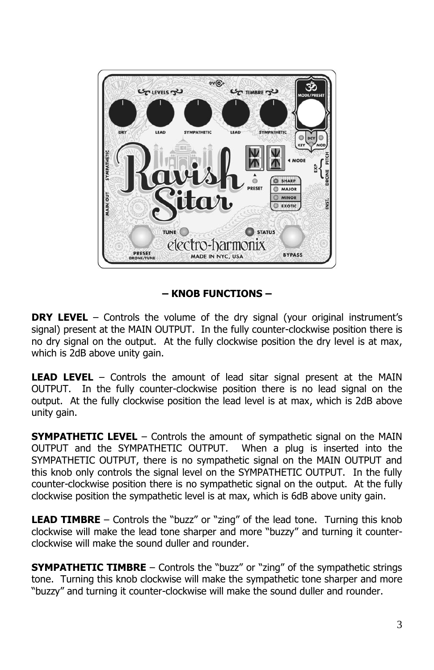

# **– KNOB FUNCTIONS –**

**DRY LEVEL** – Controls the volume of the dry signal (your original instrument's signal) present at the MAIN OUTPUT. In the fully counter-clockwise position there is no dry signal on the output. At the fully clockwise position the dry level is at max, which is 2dB above unity gain.

**LEAD LEVEL** – Controls the amount of lead sitar signal present at the MAIN OUTPUT. In the fully counter-clockwise position there is no lead signal on the output. At the fully clockwise position the lead level is at max, which is 2dB above unity gain.

**SYMPATHETIC LEVEL** – Controls the amount of sympathetic signal on the MAIN OUTPUT and the SYMPATHETIC OUTPUT. When a plug is inserted into the SYMPATHETIC OUTPUT, there is no sympathetic signal on the MAIN OUTPUT and this knob only controls the signal level on the SYMPATHETIC OUTPUT. In the fully counter-clockwise position there is no sympathetic signal on the output. At the fully clockwise position the sympathetic level is at max, which is 6dB above unity gain.

**LEAD TIMBRE** – Controls the "buzz" or "zing" of the lead tone. Turning this knob clockwise will make the lead tone sharper and more "buzzy" and turning it counterclockwise will make the sound duller and rounder.

**SYMPATHETIC TIMBRE** – Controls the "buzz" or "zing" of the sympathetic strings tone. Turning this knob clockwise will make the sympathetic tone sharper and more "buzzy" and turning it counter-clockwise will make the sound duller and rounder.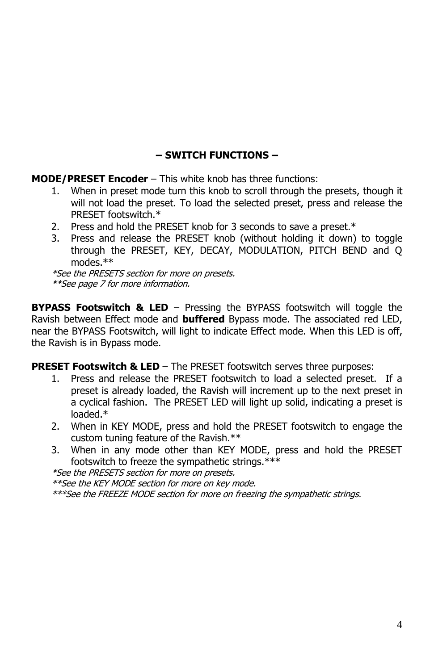# **– SWITCH FUNCTIONS –**

**MODE/PRESET Encoder** – This white knob has three functions:

- 1. When in preset mode turn this knob to scroll through the presets, though it will not load the preset. To load the selected preset, press and release the PRESET footswitch.\*
- 2. Press and hold the PRESET knob for 3 seconds to save a preset.\*
- 3. Press and release the PRESET knob (without holding it down) to toggle through the PRESET, KEY, DECAY, MODULATION, PITCH BEND and Q modes.\*\*

\*See the PRESETS section for more on presets. \*\*See page 7 for more information.

**BYPASS Footswitch & LED** – Pressing the BYPASS footswitch will toggle the Ravish between Effect mode and **buffered** Bypass mode. The associated red LED, near the BYPASS Footswitch, will light to indicate Effect mode. When this LED is off, the Ravish is in Bypass mode.

**PRESET Footswitch & LED** – The PRESET footswitch serves three purposes:

- 1. Press and release the PRESET footswitch to load a selected preset. If a preset is already loaded, the Ravish will increment up to the next preset in a cyclical fashion. The PRESET LED will light up solid, indicating a preset is loaded.\*
- 2. When in KEY MODE, press and hold the PRESET footswitch to engage the custom tuning feature of the Ravish.\*\*
- 3. When in any mode other than KEY MODE, press and hold the PRESET footswitch to freeze the sympathetic strings.\*\*\*

\*See the PRESETS section for more on presets.

\*\*See the KEY MODE section for more on key mode.

\*\*\*See the FREEZE MODE section for more on freezing the sympathetic strings.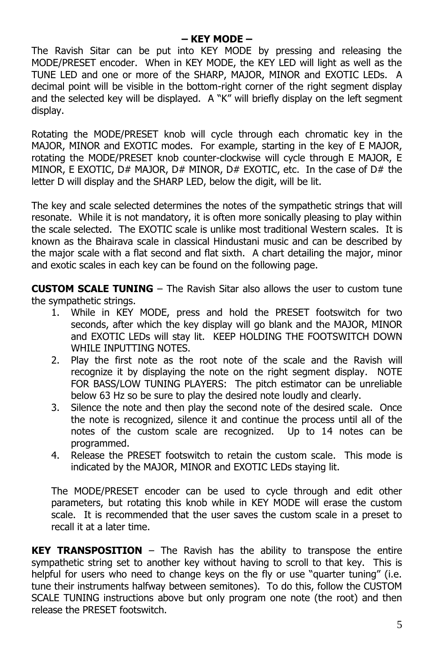### **– KEY MODE –**

The Ravish Sitar can be put into KEY MODE by pressing and releasing the MODE/PRESET encoder. When in KEY MODE, the KEY LED will light as well as the TUNE LED and one or more of the SHARP, MAJOR, MINOR and EXOTIC LEDs. A decimal point will be visible in the bottom-right corner of the right segment display and the selected key will be displayed. A "K" will briefly display on the left segment display.

Rotating the MODE/PRESET knob will cycle through each chromatic key in the MAJOR, MINOR and EXOTIC modes. For example, starting in the key of E MAJOR, rotating the MODE/PRESET knob counter-clockwise will cycle through E MAJOR, E MINOR, E EXOTIC, D# MAJOR, D# MINOR, D# EXOTIC, etc. In the case of D# the letter D will display and the SHARP LED, below the digit, will be lit.

The key and scale selected determines the notes of the sympathetic strings that will resonate. While it is not mandatory, it is often more sonically pleasing to play within the scale selected. The EXOTIC scale is unlike most traditional Western scales. It is known as the Bhairava scale in classical Hindustani music and can be described by the major scale with a flat second and flat sixth. A chart detailing the major, minor and exotic scales in each key can be found on the following page.

**CUSTOM SCALE TUNING** – The Ravish Sitar also allows the user to custom tune the sympathetic strings.

- 1. While in KEY MODE, press and hold the PRESET footswitch for two seconds, after which the key display will go blank and the MAJOR, MINOR and EXOTIC LEDs will stay lit. KEEP HOLDING THE FOOTSWITCH DOWN WHILE INPUTTING NOTES.
- 2. Play the first note as the root note of the scale and the Ravish will recognize it by displaying the note on the right segment display. NOTE FOR BASS/LOW TUNING PLAYERS: The pitch estimator can be unreliable below 63 Hz so be sure to play the desired note loudly and clearly.
- 3. Silence the note and then play the second note of the desired scale. Once the note is recognized, silence it and continue the process until all of the notes of the custom scale are recognized. Up to 14 notes can be programmed.
- 4. Release the PRESET footswitch to retain the custom scale. This mode is indicated by the MAJOR, MINOR and EXOTIC LEDs staying lit.

The MODE/PRESET encoder can be used to cycle through and edit other parameters, but rotating this knob while in KEY MODE will erase the custom scale. It is recommended that the user saves the custom scale in a preset to recall it at a later time.

**KEY TRANSPOSITION** – The Ravish has the ability to transpose the entire sympathetic string set to another key without having to scroll to that key. This is helpful for users who need to change keys on the fly or use "quarter tuning" (i.e. tune their instruments halfway between semitones). To do this, follow the CUSTOM SCALE TUNING instructions above but only program one note (the root) and then release the PRESET footswitch.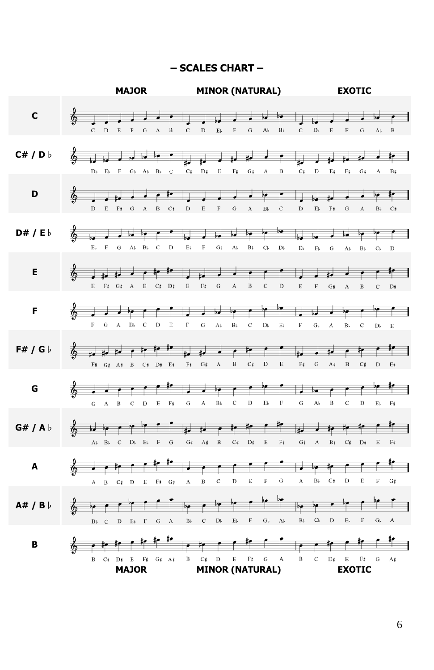#### **– SCALES CHART –**



6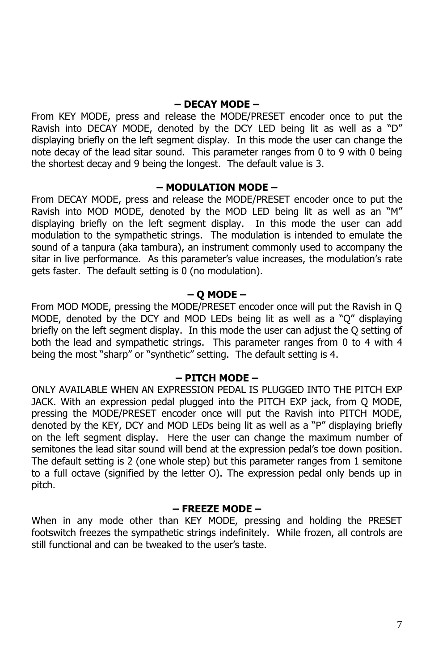### **– DECAY MODE –**

From KEY MODE, press and release the MODE/PRESET encoder once to put the Ravish into DECAY MODE, denoted by the DCY LED being lit as well as a "D" displaying briefly on the left segment display. In this mode the user can change the note decay of the lead sitar sound. This parameter ranges from 0 to 9 with 0 being the shortest decay and 9 being the longest. The default value is 3.

#### **– MODULATION MODE –**

From DECAY MODE, press and release the MODE/PRESET encoder once to put the Ravish into MOD MODE, denoted by the MOD LED being lit as well as an "M" displaying briefly on the left segment display. In this mode the user can add modulation to the sympathetic strings. The modulation is intended to emulate the sound of a tanpura (aka tambura), an instrument commonly used to accompany the sitar in live performance. As this parameter's value increases, the modulation's rate gets faster. The default setting is 0 (no modulation).

#### **– Q MODE –**

From MOD MODE, pressing the MODE/PRESET encoder once will put the Ravish in Q MODE, denoted by the DCY and MOD LEDs being lit as well as a "Q" displaying briefly on the left segment display. In this mode the user can adjust the Q setting of both the lead and sympathetic strings. This parameter ranges from 0 to 4 with 4 being the most "sharp" or "synthetic" setting. The default setting is 4.

#### **– PITCH MODE –**

ONLY AVAILABLE WHEN AN EXPRESSION PEDAL IS PLUGGED INTO THE PITCH EXP JACK. With an expression pedal plugged into the PITCH EXP jack, from Q MODE, pressing the MODE/PRESET encoder once will put the Ravish into PITCH MODE, denoted by the KEY, DCY and MOD LEDs being lit as well as a "P" displaying briefly on the left segment display. Here the user can change the maximum number of semitones the lead sitar sound will bend at the expression pedal's toe down position. The default setting is 2 (one whole step) but this parameter ranges from 1 semitone to a full octave (signified by the letter O). The expression pedal only bends up in pitch.

#### **– FREEZE MODE –**

When in any mode other than KEY MODE, pressing and holding the PRESET footswitch freezes the sympathetic strings indefinitely. While frozen, all controls are still functional and can be tweaked to the user's taste.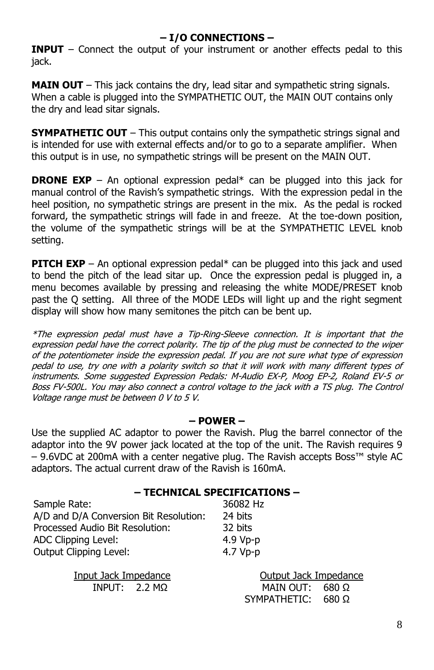# **– I/O CONNECTIONS –**

**INPUT** – Connect the output of your instrument or another effects pedal to this jack.

**MAIN OUT** – This jack contains the dry, lead sitar and sympathetic string signals. When a cable is plugged into the SYMPATHETIC OUT, the MAIN OUT contains only the dry and lead sitar signals.

**SYMPATHETIC OUT** – This output contains only the sympathetic strings signal and is intended for use with external effects and/or to go to a separate amplifier. When this output is in use, no sympathetic strings will be present on the MAIN OUT.

**DRONE EXP** – An optional expression pedal<sup>\*</sup> can be plugged into this jack for manual control of the Ravish's sympathetic strings. With the expression pedal in the heel position, no sympathetic strings are present in the mix. As the pedal is rocked forward, the sympathetic strings will fade in and freeze. At the toe-down position, the volume of the sympathetic strings will be at the SYMPATHETIC LEVEL knob setting.

**PITCH EXP** – An optional expression pedal\* can be plugged into this jack and used to bend the pitch of the lead sitar up. Once the expression pedal is plugged in, a menu becomes available by pressing and releasing the white MODE/PRESET knob past the Q setting. All three of the MODE LEDs will light up and the right segment display will show how many semitones the pitch can be bent up.

\*The expression pedal must have a Tip-Ring-Sleeve connection. It is important that the expression pedal have the correct polarity. The tip of the plug must be connected to the wiper of the potentiometer inside the expression pedal. If you are not sure what type of expression pedal to use, try one with a polarity switch so that it will work with many different types of instruments. Some suggested Expression Pedals: M-Audio EX-P, Moog EP-2, Roland EV-5 or Boss FV-500L. You may also connect a control voltage to the jack with a TS plug. The Control Voltage range must be between 0 V to 5 V.

#### **– POWER –**

Use the supplied AC adaptor to power the Ravish. Plug the barrel connector of the adaptor into the 9V power jack located at the top of the unit. The Ravish requires 9 – 9.6VDC at 200mA with a center negative plug. The Ravish accepts Boss™ style AC adaptors. The actual current draw of the Ravish is 160mA.

#### **– TECHNICAL SPECIFICATIONS –**

36082 Hz 24 hits 32 bits 4.9 Vp-p

| Sample Rate:                           | 36082 Hz |
|----------------------------------------|----------|
| A/D and D/A Conversion Bit Resolution: | 24 bits  |
| Processed Audio Bit Resolution:        | 32 bits  |
| ADC Clipping Level:                    | 4.9 Vp-p |
| Output Clipping Level:                 | 4.7 Vp-p |

Input Jack Impedance **Output Jack Impedance** INPUT: 2.2 MΩ MAIN OUT: 680 Ω SYMPATHETIC: 680 Ω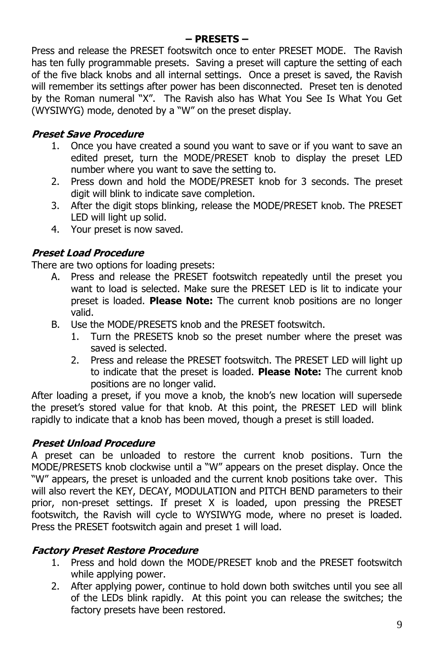#### **– PRESETS –**

Press and release the PRESET footswitch once to enter PRESET MODE. The Ravish has ten fully programmable presets. Saving a preset will capture the setting of each of the five black knobs and all internal settings. Once a preset is saved, the Ravish will remember its settings after power has been disconnected. Preset ten is denoted by the Roman numeral "X". The Ravish also has What You See Is What You Get (WYSIWYG) mode, denoted by a "W" on the preset display.

# **Preset Save Procedure**

- 1. Once you have created a sound you want to save or if you want to save an edited preset, turn the MODE/PRESET knob to display the preset LED number where you want to save the setting to.
- 2. Press down and hold the MODE/PRESET knob for 3 seconds. The preset digit will blink to indicate save completion.
- 3. After the digit stops blinking, release the MODE/PRESET knob. The PRESET LED will light up solid.
- 4. Your preset is now saved.

# **Preset Load Procedure**

There are two options for loading presets:

- A. Press and release the PRESET footswitch repeatedly until the preset you want to load is selected. Make sure the PRESET LED is lit to indicate your preset is loaded. **Please Note:** The current knob positions are no longer valid.
- B. Use the MODE/PRESETS knob and the PRESET footswitch.
	- 1. Turn the PRESETS knob so the preset number where the preset was saved is selected.
	- 2. Press and release the PRESET footswitch. The PRESET LED will light up to indicate that the preset is loaded. **Please Note:** The current knob positions are no longer valid.

After loading a preset, if you move a knob, the knob's new location will supersede the preset's stored value for that knob. At this point, the PRESET LED will blink rapidly to indicate that a knob has been moved, though a preset is still loaded.

# **Preset Unload Procedure**

A preset can be unloaded to restore the current knob positions. Turn the MODE/PRESETS knob clockwise until a "W" appears on the preset display. Once the "W" appears, the preset is unloaded and the current knob positions take over. This will also revert the KEY, DECAY, MODULATION and PITCH BEND parameters to their prior, non-preset settings. If preset X is loaded, upon pressing the PRESET footswitch, the Ravish will cycle to WYSIWYG mode, where no preset is loaded. Press the PRESET footswitch again and preset 1 will load.

## **Factory Preset Restore Procedure**

- 1. Press and hold down the MODE/PRESET knob and the PRESET footswitch while applying power.
- 2. After applying power, continue to hold down both switches until you see all of the LEDs blink rapidly. At this point you can release the switches; the factory presets have been restored.